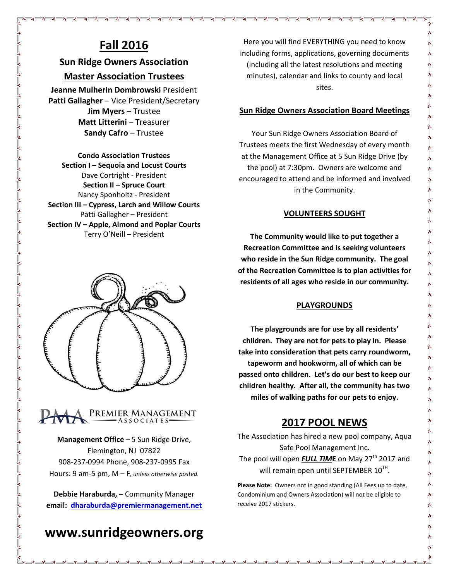## **Fall 2016**

### **Sun Ridge Owners Association**

### **Master Association Trustees**

**Jeanne Mulherin Dombrowski** President **Patti Gallagher** – Vice President/Secretary **Jim Myers** – Trustee **Matt Litterini** – Treasurer **Sandy Cafro** – Trustee

**Condo Association Trustees Section I – Sequoia and Locust Courts** Dave Cortright - President **Section II – Spruce Court** Nancy Sponholtz - President **Section III – Cypress, Larch and Willow Courts** Patti Gallagher – President **Section IV – Apple, Almond and Poplar Courts** Terry O'Neill – President





**Management Office** – 5 Sun Ridge Drive, Flemington, NJ 07822 908-237-0994 Phone, 908-237-0995 Fax Hours: 9 am-5 pm, M – F*, unless otherwise posted.*

**Debbie Haraburda, –** Community Manager **email: [dharaburda@premiermanagement.net](mailto:dharaburda@premiermanagement.net)**

# **www.sunridgeowners.org**

Here you will find EVERYTHING you need to know including forms, applications, governing documents (including all the latest resolutions and meeting minutes), calendar and links to county and local sites.

### **Sun Ridge Owners Association Board Meetings**

Your Sun Ridge Owners Association Board of Trustees meets the first Wednesday of every month at the Management Office at 5 Sun Ridge Drive (by the pool) at 7:30pm. Owners are welcome and encouraged to attend and be informed and involved in the Community.

### **VOLUNTEERS SOUGHT**

**The Community would like to put together a Recreation Committee and is seeking volunteers who reside in the Sun Ridge community. The goal of the Recreation Committee is to plan activities for residents of all ages who reside in our community.**

### **PLAYGROUNDS**

**The playgrounds are for use by all residents' children. They are not for pets to play in. Please take into consideration that pets carry roundworm, tapeworm and hookworm, all of which can be passed onto children. Let's do our best to keep our children healthy. After all, the community has two miles of walking paths for our pets to enjoy.**

### **2017 POOL NEWS**

The Association has hired a new pool company, Aqua Safe Pool Management Inc. The pool will open **FULL TIME** on May 27<sup>th</sup> 2017 and will remain open until SEPTEMBER  $10^{TH}$ .

**Please Note:** Owners not in good standing (All Fees up to date, Condominium and Owners Association) will not be eligible to receive 2017 stickers.